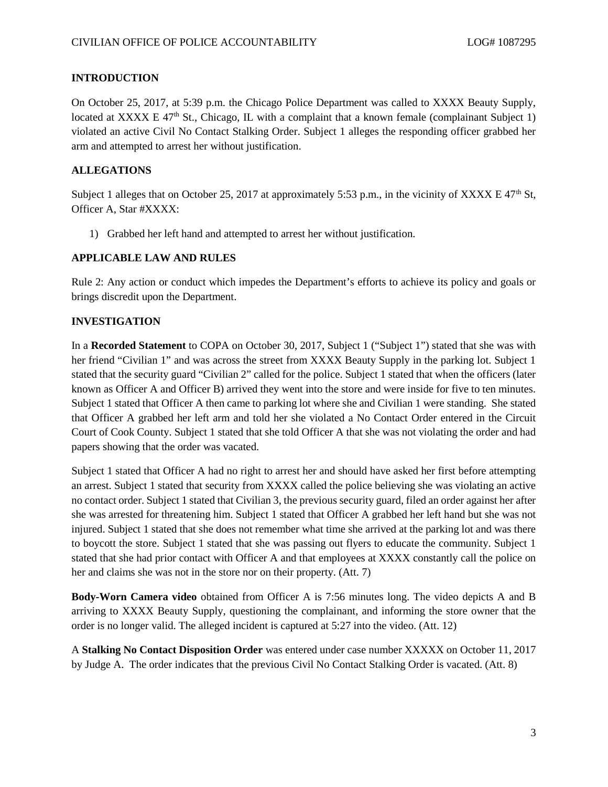## **INTRODUCTION**

On October 25, 2017, at 5:39 p.m. the Chicago Police Department was called to XXXX Beauty Supply, located at XXXX E  $47<sup>th</sup>$  St., Chicago, IL with a complaint that a known female (complainant Subject 1) violated an active Civil No Contact Stalking Order. Subject 1 alleges the responding officer grabbed her arm and attempted to arrest her without justification.

### **ALLEGATIONS**

Subject 1 alleges that on October 25, 2017 at approximately 5:53 p.m., in the vicinity of XXXX E 47<sup>th</sup> St, Officer A, Star #XXXX:

1) Grabbed her left hand and attempted to arrest her without justification.

# **APPLICABLE LAW AND RULES**

Rule 2: Any action or conduct which impedes the Department's efforts to achieve its policy and goals or brings discredit upon the Department.

#### **INVESTIGATION**

In a **Recorded Statement** to COPA on October 30, 2017, Subject 1 ("Subject 1") stated that she was with her friend "Civilian 1" and was across the street from XXXX Beauty Supply in the parking lot. Subject 1 stated that the security guard "Civilian 2" called for the police. Subject 1 stated that when the officers (later known as Officer A and Officer B) arrived they went into the store and were inside for five to ten minutes. Subject 1 stated that Officer A then came to parking lot where she and Civilian 1 were standing. She stated that Officer A grabbed her left arm and told her she violated a No Contact Order entered in the Circuit Court of Cook County. Subject 1 stated that she told Officer A that she was not violating the order and had papers showing that the order was vacated.

Subject 1 stated that Officer A had no right to arrest her and should have asked her first before attempting an arrest. Subject 1 stated that security from XXXX called the police believing she was violating an active no contact order. Subject 1 stated that Civilian 3, the previous security guard, filed an order against her after she was arrested for threatening him. Subject 1 stated that Officer A grabbed her left hand but she was not injured. Subject 1 stated that she does not remember what time she arrived at the parking lot and was there to boycott the store. Subject 1 stated that she was passing out flyers to educate the community. Subject 1 stated that she had prior contact with Officer A and that employees at XXXX constantly call the police on her and claims she was not in the store nor on their property. (Att. 7)

**Body-Worn Camera video** obtained from Officer A is 7:56 minutes long. The video depicts A and B arriving to XXXX Beauty Supply, questioning the complainant, and informing the store owner that the order is no longer valid. The alleged incident is captured at 5:27 into the video. (Att. 12)

A **Stalking No Contact Disposition Order** was entered under case number XXXXX on October 11, 2017 by Judge A. The order indicates that the previous Civil No Contact Stalking Order is vacated. (Att. 8)